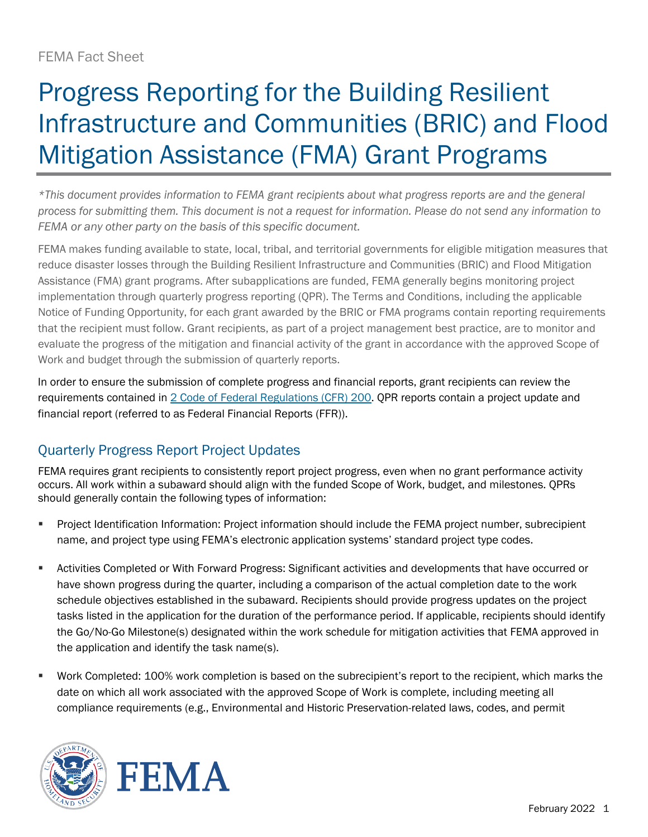## Progress Reporting for the Building Resilient Infrastructure and Communities (BRIC) and Flood Mitigation Assistance (FMA) Grant Programs

*\*This document provides information to FEMA grant recipients about what progress reports are and the general process for submitting them. This document is not a request for information. Please do not send any information to FEMA or any other party on the basis of this specific document.*

FEMA makes funding available to state, local, tribal, and territorial governments for eligible mitigation measures that reduce disaster losses through the Building Resilient Infrastructure and Communities (BRIC) and Flood Mitigation Assistance (FMA) grant programs. After subapplications are funded, FEMA generally begins monitoring project implementation through quarterly progress reporting (QPR). The Terms and Conditions, including the applicable Notice of Funding Opportunity, for each grant awarded by the BRIC or FMA programs contain reporting requirements that the recipient must follow. Grant recipients, as part of a project management best practice, are to monitor and evaluate the progress of the mitigation and financial activity of the grant in accordance with the approved Scope of Work and budget through the submission of quarterly reports.

In order to ensure the submission of complete progress and financial reports, grant recipients can review the requirements contained in [2 Code of Federal Regulations \(CFR\) 200. Q](https://www.ecfr.gov/current/title-2/subtitle-A/chapter-II/part-200?toc=1)PR reports contain a project update and financial report (referred to as Federal Financial Reports (FFR)).

## Quarterly Progress Report Project Updates

FEMA requires grant recipients to consistently report project progress, even when no grant performance activity occurs. All work within a subaward should align with the funded Scope of Work, budget, and milestones. QPRs should generally contain the following types of information:

- Project Identification Information: Project information should include the FEMA project number, subrecipient name, and project type using FEMA's electronic application systems' standard project type codes.
- Activities Completed or With Forward Progress: Significant activities and developments that have occurred or have shown progress during the quarter, including a comparison of the actual completion date to the work schedule objectives established in the subaward. Recipients should provide progress updates on the project tasks listed in the application for the duration of the performance period. If applicable, recipients should identify the Go/No-Go Milestone(s) designated within the work schedule for mitigation activities that FEMA approved in the application and identify the task name(s).
- Work Completed: 100% work completion is based on the subrecipient's report to the recipient, which marks the date on which all work associated with the approved Scope of Work is complete, including meeting all compliance requirements (e.g., Environmental and Historic Preservation-related laws, codes, and permit